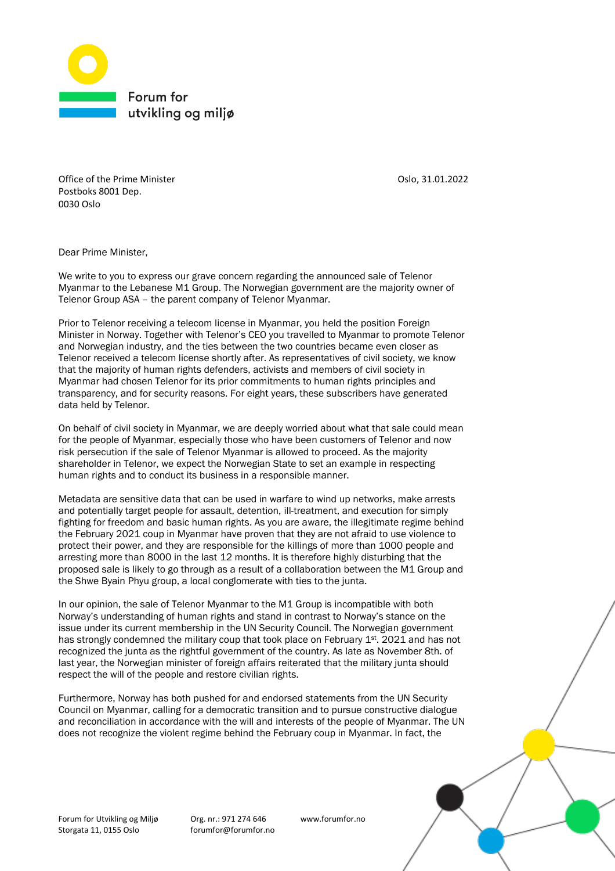

Office of the Prime Minister **Calculation** Oslo, 31.01.2022 Postboks 8001 Dep. 0030 Oslo

Dear Prime Minister,

We write to you to express our grave concern regarding the announced sale of Telenor Myanmar to the Lebanese M1 Group. The Norwegian government are the majority owner of Telenor Group ASA – the parent company of Telenor Myanmar.

Prior to Telenor receiving a telecom license in Myanmar, you held the position Foreign Minister in Norway. Together with Telenor's CEO you travelled to Myanmar to promote Telenor and Norwegian industry, and the ties between the two countries became even closer as Telenor received a telecom license shortly after. As representatives of civil society, we know that the majority of human rights defenders, activists and members of civil society in Myanmar had chosen Telenor for its prior commitments to human rights principles and transparency, and for security reasons. For eight years, these subscribers have generated data held by Telenor.

On behalf of civil society in Myanmar, we are deeply worried about what that sale could mean for the people of Myanmar, especially those who have been customers of Telenor and now risk persecution if the sale of Telenor Myanmar is allowed to proceed. As the majority shareholder in Telenor, we expect the Norwegian State to set an example in respecting human rights and to conduct its business in a responsible manner.

Metadata are sensitive data that can be used in warfare to wind up networks, make arrests and potentially target people for assault, detention, ill-treatment, and execution for simply fighting for freedom and basic human rights. As you are aware, the illegitimate regime behind the February 2021 coup in Myanmar have proven that they are not afraid to use violence to protect their power, and they are responsible for the killings of more than 1000 people and arresting more than 8000 in the last 12 months. It is therefore highly disturbing that the proposed sale is likely to go through as a result of a collaboration between the M1 Group and the Shwe Byain Phyu group, a local conglomerate with ties to the junta.

In our opinion, the sale of Telenor Myanmar to the M1 Group is incompatible with both Norway's understanding of human rights and stand in contrast to Norway's stance on the issue under its current membership in the UN Security Council. The Norwegian government has strongly condemned the military coup that took place on February 1<sup>st</sup>. 2021 and has not recognized the junta as the rightful government of the country. As late as November 8th. of last year, the Norwegian minister of foreign affairs reiterated that the military junta should respect the will of the people and restore civilian rights.

Furthermore, Norway has both pushed for and endorsed statements from the UN Security Council on Myanmar, calling for a democratic transition and to pursue constructive dialogue and reconciliation in accordance with the will and interests of the people of Myanmar. The UN does not recognize the violent regime behind the February coup in Myanmar. In fact, the

Forum for Utvikling og Miljø Org. nr.: 971 274 646 www.forumfor.no Storgata 11, 0155 Oslo forumfor@forumfor.no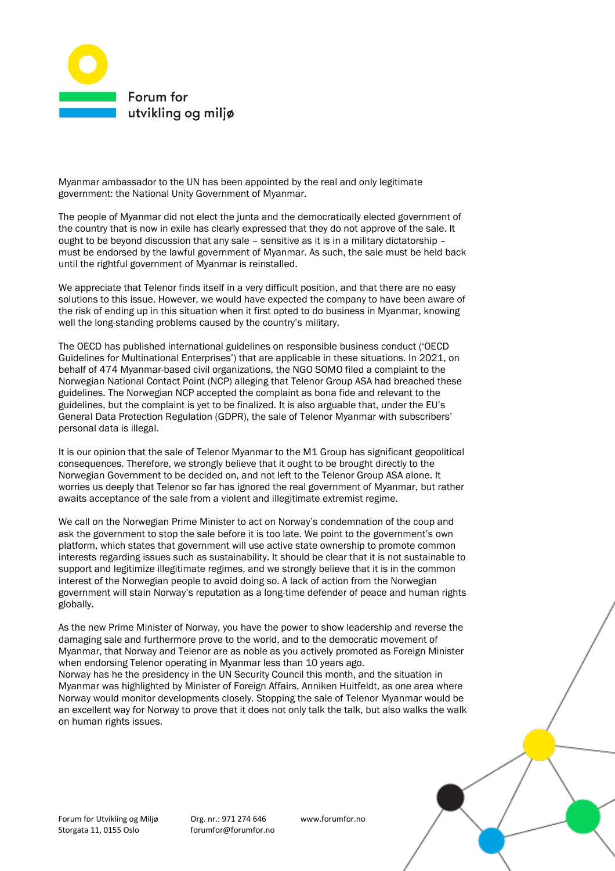

Myanmar ambassador to the UN has been appointed by the real and only legitimate government: the National Unity Government of Myanmar.

The people of Myanmar did not elect the junta and the democratically elected government of the country that is now in exile has clearly expressed that they do not approve of the sale. It ought to be beyond discussion that any sale – sensitive as it is in a military dictatorship – must be endorsed by the lawful government of Myanmar. As such, the sale must be held back until the rightful government of Myanmar is reinstalled.

We appreciate that Telenor finds itself in a very difficult position, and that there are no easy solutions to this issue. However, we would have expected the company to have been aware of the risk of ending up in this situation when it first opted to do business in Myanmar, knowing well the long-standing problems caused by the country's military.

The OECD has published international guidelines on responsible business conduct ('OECD Guidelines for Multinational Enterprises') that are applicable in these situations. In 2021, on behalf of 474 Myanmar-based civil organizations, the NGO SOMO filed a complaint to the Norwegian National Contact Point (NCP) alleging that Telenor Group ASA had breached these guidelines. The Norwegian NCP accepted the complaint as bona fide and relevant to the guidelines, but the complaint is yet to be finalized. It is also arguable that, under the EU's General Data Protection Regulation (GDPR), the sale of Telenor Myanmar with subscribers' personal data is illegal.

It is our opinion that the sale of Telenor Myanmar to the M1 Group has significant geopolitical consequences. Therefore, we strongly believe that it ought to be brought directly to the Norwegian Government to be decided on, and not left to the Telenor Group ASA alone. It worries us deeply that Telenor so far has ignored the real government of Myanmar, but rather awaits acceptance of the sale from a violent and illegitimate extremist regime.

We call on the Norwegian Prime Minister to act on Norway's condemnation of the coup and ask the government to stop the sale before it is too late. We point to the government's own platform, which states that government will use active state ownership to promote common interests regarding issues such as sustainability. It should be clear that it is not sustainable to support and legitimize illegitimate regimes, and we strongly believe that it is in the common interest of the Norwegian people to avoid doing so. A lack of action from the Norwegian government will stain Norway's reputation as a long-time defender of peace and human rights globally.

As the new Prime Minister of Norway, you have the power to show leadership and reverse the damaging sale and furthermore prove to the world, and to the democratic movement of Myanmar, that Norway and Telenor are as noble as you actively promoted as Foreign Minister when endorsing Telenor operating in Myanmar less than 10 years ago. Norway has he the presidency in the UN Security Council this month, and the situation in Myanmar was highlighted by Minister of Foreign Affairs, Anniken Huitfeldt, as one area where Norway would monitor developments closely. Stopping the sale of Telenor Myanmar would be an excellent way for Norway to prove that it does not only talk the talk, but also walks the walk on human rights issues.

Forum for Utvikling og Miljø Org. nr.: 971 274 646 www.forumfor.no Storgata 11, 0155 Oslo forumfor@forumfor.no